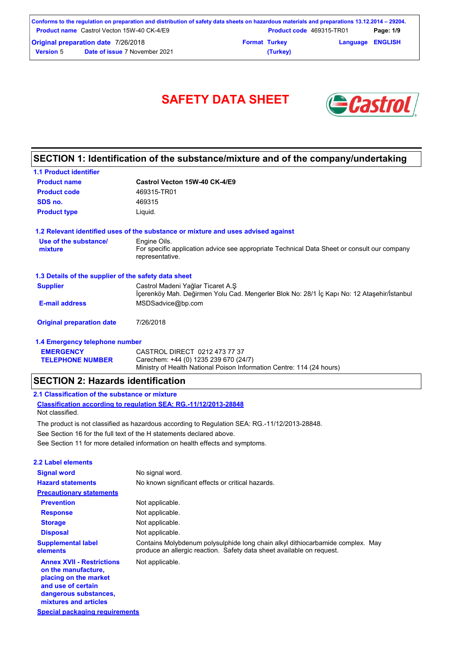| Conforms to the regulation on preparation and distribution of safety data sheets on hazardous materials and preparations 13.12.2014 – 29204. |                                                   |                      |                                 |                         |           |
|----------------------------------------------------------------------------------------------------------------------------------------------|---------------------------------------------------|----------------------|---------------------------------|-------------------------|-----------|
|                                                                                                                                              | <b>Product name</b> Castrol Vecton 15W-40 CK-4/E9 |                      | <b>Product code</b> 469315-TR01 |                         | Page: 1/9 |
| <b>Original preparation date 7/26/2018</b>                                                                                                   |                                                   | <b>Format Turkey</b> |                                 | <b>Language ENGLISH</b> |           |
| <b>Version 5</b>                                                                                                                             | <b>Date of issue 7 November 2021</b>              |                      | (Turkey)                        |                         |           |

# SAFETY DATA SHEET **& Castro**



## **SECTION 1: Identification of the substance/mixture and of the company/undertaking**

| <b>1.1 Product identifier</b>                        |                                                                                                                                 |
|------------------------------------------------------|---------------------------------------------------------------------------------------------------------------------------------|
| <b>Product name</b>                                  | Castrol Vecton 15W-40 CK-4/E9                                                                                                   |
| <b>Product code</b>                                  | 469315-TR01                                                                                                                     |
| SDS no.                                              | 469315                                                                                                                          |
| <b>Product type</b>                                  | Liquid.                                                                                                                         |
|                                                      | 1.2 Relevant identified uses of the substance or mixture and uses advised against                                               |
| Use of the substance/                                | Engine Oils.                                                                                                                    |
| mixture                                              | For specific application advice see appropriate Technical Data Sheet or consult our company<br>representative.                  |
| 1.3 Details of the supplier of the safety data sheet |                                                                                                                                 |
| <b>Supplier</b>                                      | Castrol Madeni Yağlar Ticaret A.Ş<br>İçerenköy Mah. Değirmen Yolu Cad. Mengerler Blok No: 28/1 İç Kapı No: 12 Ataşehir/İstanbul |
| <b>E-mail address</b>                                | MSDSadvice@bp.com                                                                                                               |
| <b>Original preparation date</b>                     | 7/26/2018                                                                                                                       |
| 1.4 Emergency telephone number                       |                                                                                                                                 |
| <b>EMERGENCY</b>                                     | CASTROL DIRECT 0212 473 77 37                                                                                                   |
| <b>TELEPHONE NUMBER</b>                              | Carechem: +44 (0) 1235 239 670 (24/7)                                                                                           |

Ministry of Health National Poison Information Centre: 114 (24 hours)

Carechem: +44 (0) 1235 239 670 (24/7)

### **SECTION 2: Hazards identification**

### **2.1 Classification of the substance or mixture**

**Classification according to regulation SEA: RG.-11/12/2013-28848** Not classified.

See Section 11 for more detailed information on health effects and symptoms. See Section 16 for the full text of the H statements declared above. The product is not classified as hazardous according to Regulation SEA: RG.-11/12/2013-28848.

| 2.2 Label elements                                                                                                                                       |                                                                                                                                                         |
|----------------------------------------------------------------------------------------------------------------------------------------------------------|---------------------------------------------------------------------------------------------------------------------------------------------------------|
| <b>Signal word</b>                                                                                                                                       | No signal word.                                                                                                                                         |
| <b>Hazard statements</b>                                                                                                                                 | No known significant effects or critical hazards.                                                                                                       |
| <b>Precautionary statements</b>                                                                                                                          |                                                                                                                                                         |
| <b>Prevention</b>                                                                                                                                        | Not applicable.                                                                                                                                         |
| <b>Response</b>                                                                                                                                          | Not applicable.                                                                                                                                         |
| <b>Storage</b>                                                                                                                                           | Not applicable.                                                                                                                                         |
| <b>Disposal</b>                                                                                                                                          | Not applicable.                                                                                                                                         |
| <b>Supplemental label</b><br>elements                                                                                                                    | Contains Molybdenum polysulphide long chain alkyl dithiocarbamide complex. May<br>produce an allergic reaction. Safety data sheet available on request. |
| <b>Annex XVII - Restrictions</b><br>on the manufacture,<br>placing on the market<br>and use of certain<br>dangerous substances,<br>mixtures and articles | Not applicable.                                                                                                                                         |

**Special packaging requirements**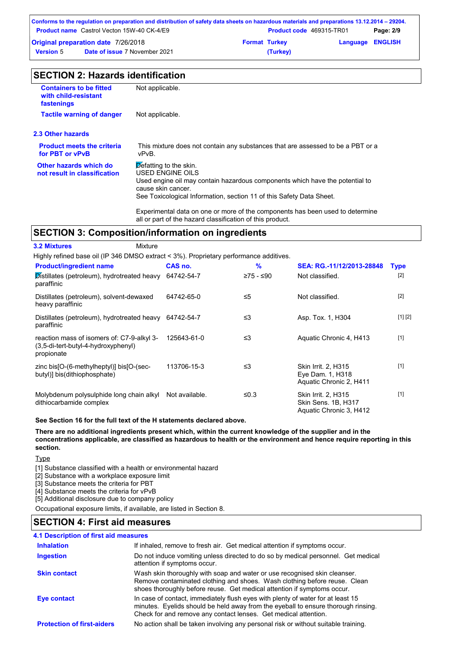| Conforms to the regulation on preparation and distribution of safety data sheets on hazardous materials and preparations 13.12.2014 – 29204. |                                                   |                      |                                 |                         |           |
|----------------------------------------------------------------------------------------------------------------------------------------------|---------------------------------------------------|----------------------|---------------------------------|-------------------------|-----------|
|                                                                                                                                              | <b>Product name</b> Castrol Vecton 15W-40 CK-4/E9 |                      | <b>Product code</b> 469315-TR01 |                         | Page: 2/9 |
| <b>Original preparation date 7/26/2018</b>                                                                                                   |                                                   | <b>Format Turkey</b> |                                 | <b>Language ENGLISH</b> |           |
| <b>Version</b> 5                                                                                                                             | <b>Date of issue 7 November 2021</b>              |                      | (Turkey)                        |                         |           |

| <b>Containers to be fitted</b><br>with child-resistant<br>fastenings | Not applicable.                                                                                                                                                                                                                          |
|----------------------------------------------------------------------|------------------------------------------------------------------------------------------------------------------------------------------------------------------------------------------------------------------------------------------|
| <b>Tactile warning of danger</b>                                     | Not applicable.                                                                                                                                                                                                                          |
| 2.3 Other hazards                                                    |                                                                                                                                                                                                                                          |
| <b>Product meets the criteria</b><br>for PBT or vPvB                 | This mixture does not contain any substances that are assessed to be a PBT or a<br>vPvB.                                                                                                                                                 |
| Other hazards which do<br>not result in classification               | $\triangleright$ efatting to the skin.<br>USED ENGINE OILS<br>Used engine oil may contain hazardous components which have the potential to<br>cause skin cancer.<br>See Toxicological Information, section 11 of this Safety Data Sheet. |
|                                                                      | Experimental data on one or more of the components has been used to determine<br>all or part of the hazard classification of this product.                                                                                               |

# **SECTION 3: Composition/information on ingredients**

| <b>3.2 Mixtures</b>                                                                             | Mixture        |           |                                                                       |             |
|-------------------------------------------------------------------------------------------------|----------------|-----------|-----------------------------------------------------------------------|-------------|
| Highly refined base oil (IP 346 DMSO extract < 3%). Proprietary performance additives.          |                |           |                                                                       |             |
| <b>Product/ingredient name</b>                                                                  | CAS no.        | %         | SEA: RG.-11/12/2013-28848                                             | <b>Type</b> |
| Distillates (petroleum), hydrotreated heavy<br>paraffinic                                       | 64742-54-7     | ≥75 - ≤90 | Not classified.                                                       | $[2]$       |
| Distillates (petroleum), solvent-dewaxed<br>heavy paraffinic                                    | 64742-65-0     | $\leq 5$  | Not classified.                                                       | $[2]$       |
| Distillates (petroleum), hydrotreated heavy<br>paraffinic                                       | 64742-54-7     | ≤3        | Asp. Tox. 1, H304                                                     | [1] [2]     |
| reaction mass of isomers of: C7-9-alkyl 3-<br>(3,5-di-tert-butyl-4-hydroxyphenyl)<br>propionate | 125643-61-0    | $\leq$ 3  | Aquatic Chronic 4, H413                                               | $[1]$       |
| zinc bis[O-(6-methylheptyl)] bis[O-(sec-<br>butyl)] bis(dithiophosphate)                        | 113706-15-3    | $\leq$ 3  | Skin Irrit. 2, H315<br>Eye Dam. 1, H318<br>Aquatic Chronic 2, H411    | $[1]$       |
| Molybdenum polysulphide long chain alkyl<br>dithiocarbamide complex                             | Not available. | ≤0.3      | Skin Irrit. 2, H315<br>Skin Sens. 1B, H317<br>Aquatic Chronic 3, H412 | $[1]$       |

**See Section 16 for the full text of the H statements declared above.**

**There are no additional ingredients present which, within the current knowledge of the supplier and in the concentrations applicable, are classified as hazardous to health or the environment and hence require reporting in this section.**

**Type** 

[1] Substance classified with a health or environmental hazard

[2] Substance with a workplace exposure limit

[3] Substance meets the criteria for PBT

[4] Substance meets the criteria for vPvB

[5] Additional disclosure due to company policy

Occupational exposure limits, if available, are listed in Section 8.

### **SECTION 4: First aid measures**

| <b>4.1 Description of first aid measures</b> |                                                                                                                                                                                                                                         |
|----------------------------------------------|-----------------------------------------------------------------------------------------------------------------------------------------------------------------------------------------------------------------------------------------|
| <b>Inhalation</b>                            | If inhaled, remove to fresh air. Get medical attention if symptoms occur.                                                                                                                                                               |
| Ingestion                                    | Do not induce vomiting unless directed to do so by medical personnel. Get medical<br>attention if symptoms occur.                                                                                                                       |
| <b>Skin contact</b>                          | Wash skin thoroughly with soap and water or use recognised skin cleanser.<br>Remove contaminated clothing and shoes. Wash clothing before reuse. Clean<br>shoes thoroughly before reuse. Get medical attention if symptoms occur.       |
| Eye contact                                  | In case of contact, immediately flush eyes with plenty of water for at least 15<br>minutes. Eyelids should be held away from the eyeball to ensure thorough rinsing.<br>Check for and remove any contact lenses. Get medical attention. |
| <b>Protection of first-aiders</b>            | No action shall be taken involving any personal risk or without suitable training.                                                                                                                                                      |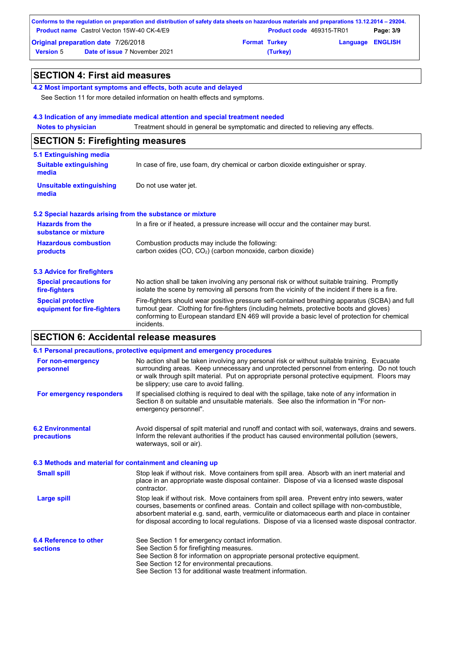|                                            | Conforms to the regulation on preparation and distribution of safety data sheets on hazardous materials and preparations 13.12.2014 – 29204. |                      |                                 |                         |           |
|--------------------------------------------|----------------------------------------------------------------------------------------------------------------------------------------------|----------------------|---------------------------------|-------------------------|-----------|
|                                            | <b>Product name</b> Castrol Vecton 15W-40 CK-4/E9                                                                                            |                      | <b>Product code</b> 469315-TR01 |                         | Page: 3/9 |
| <b>Original preparation date 7/26/2018</b> |                                                                                                                                              | <b>Format Turkey</b> |                                 | <b>Language ENGLISH</b> |           |
| <b>Version 5</b>                           | <b>Date of issue 7 November 2021</b>                                                                                                         |                      | (Turkey)                        |                         |           |

### **SECTION 4: First aid measures**

**4.2 Most important symptoms and effects, both acute and delayed**

See Section 11 for more detailed information on health effects and symptoms.

#### **4.3 Indication of any immediate medical attention and special treatment needed**

**Notes to physician** Treatment should in general be symptomatic and directed to relieving any effects.

## **SECTION 5: Firefighting measures**

| 5.1 Extinguishing media                                   |                                                                                                                                                                                                                                                                                                           |  |  |
|-----------------------------------------------------------|-----------------------------------------------------------------------------------------------------------------------------------------------------------------------------------------------------------------------------------------------------------------------------------------------------------|--|--|
| <b>Suitable extinguishing</b><br>media                    | In case of fire, use foam, dry chemical or carbon dioxide extinguisher or spray.                                                                                                                                                                                                                          |  |  |
| <b>Unsuitable extinguishing</b><br>media                  | Do not use water jet.                                                                                                                                                                                                                                                                                     |  |  |
| 5.2 Special hazards arising from the substance or mixture |                                                                                                                                                                                                                                                                                                           |  |  |
| <b>Hazards from the</b><br>substance or mixture           | In a fire or if heated, a pressure increase will occur and the container may burst.                                                                                                                                                                                                                       |  |  |
| <b>Hazardous combustion</b><br>products                   | Combustion products may include the following:<br>carbon oxides (CO, CO <sub>2</sub> ) (carbon monoxide, carbon dioxide)                                                                                                                                                                                  |  |  |
| 5.3 Advice for firefighters                               |                                                                                                                                                                                                                                                                                                           |  |  |
| <b>Special precautions for</b><br>fire-fighters           | No action shall be taken involving any personal risk or without suitable training. Promptly<br>isolate the scene by removing all persons from the vicinity of the incident if there is a fire.                                                                                                            |  |  |
| <b>Special protective</b><br>equipment for fire-fighters  | Fire-fighters should wear positive pressure self-contained breathing apparatus (SCBA) and full<br>turnout gear. Clothing for fire-fighters (including helmets, protective boots and gloves)<br>conforming to European standard EN 469 will provide a basic level of protection for chemical<br>incidents. |  |  |

### **SECTION 6: Accidental release measures**

|                                                          | 6.1 Personal precautions, protective equipment and emergency procedures                                                                                                                                                                                                                                                                                                                        |
|----------------------------------------------------------|------------------------------------------------------------------------------------------------------------------------------------------------------------------------------------------------------------------------------------------------------------------------------------------------------------------------------------------------------------------------------------------------|
| For non-emergency<br>personnel                           | No action shall be taken involving any personal risk or without suitable training. Evacuate<br>surrounding areas. Keep unnecessary and unprotected personnel from entering. Do not touch<br>or walk through spilt material. Put on appropriate personal protective equipment. Floors may<br>be slippery: use care to avoid falling.                                                            |
| For emergency responders                                 | If specialised clothing is required to deal with the spillage, take note of any information in<br>Section 8 on suitable and unsuitable materials. See also the information in "For non-<br>emergency personnel".                                                                                                                                                                               |
| <b>6.2 Environmental</b><br><b>precautions</b>           | Avoid dispersal of spilt material and runoff and contact with soil, waterways, drains and sewers.<br>Inform the relevant authorities if the product has caused environmental pollution (sewers,<br>waterways, soil or air).                                                                                                                                                                    |
| 6.3 Methods and material for containment and cleaning up |                                                                                                                                                                                                                                                                                                                                                                                                |
| <b>Small spill</b>                                       | Stop leak if without risk. Move containers from spill area. Absorb with an inert material and<br>place in an appropriate waste disposal container. Dispose of via a licensed waste disposal<br>contractor.                                                                                                                                                                                     |
| <b>Large spill</b>                                       | Stop leak if without risk. Move containers from spill area. Prevent entry into sewers, water<br>courses, basements or confined areas. Contain and collect spillage with non-combustible,<br>absorbent material e.g. sand, earth, vermiculite or diatomaceous earth and place in container<br>for disposal according to local regulations. Dispose of via a licensed waste disposal contractor. |
| 6.4 Reference to other<br><b>sections</b>                | See Section 1 for emergency contact information.<br>See Section 5 for firefighting measures.<br>See Section 8 for information on appropriate personal protective equipment.<br>See Section 12 for environmental precautions.<br>See Section 13 for additional waste treatment information.                                                                                                     |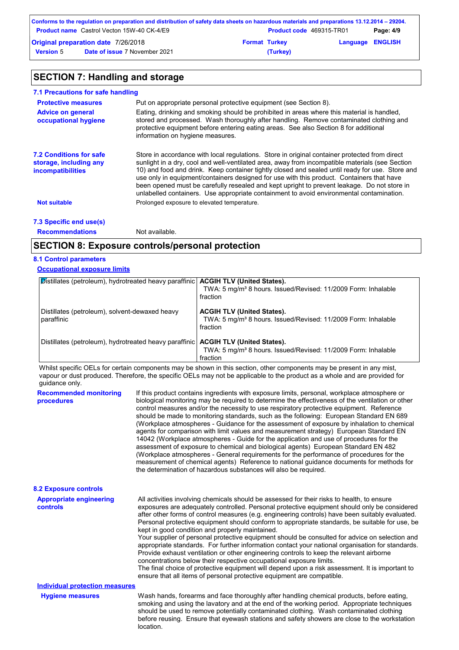|                                            | Conforms to the regulation on preparation and distribution of safety data sheets on hazardous materials and preparations 13.12.2014 – 29204. |                      |                                 |                         |           |
|--------------------------------------------|----------------------------------------------------------------------------------------------------------------------------------------------|----------------------|---------------------------------|-------------------------|-----------|
|                                            | <b>Product name</b> Castrol Vecton 15W-40 CK-4/E9                                                                                            |                      | <b>Product code</b> 469315-TR01 |                         | Page: 4/9 |
| <b>Original preparation date 7/26/2018</b> |                                                                                                                                              | <b>Format Turkey</b> |                                 | <b>Language ENGLISH</b> |           |
| <b>Version 5</b>                           | <b>Date of issue 7 November 2021</b>                                                                                                         |                      | (Turkey)                        |                         |           |

# **SECTION 7: Handling and storage**

| 7.1 Precautions for safe handling                                                    |                                                                                                                                                                                                                                                                                                                                                                                                                                                                                                                                                                                             |
|--------------------------------------------------------------------------------------|---------------------------------------------------------------------------------------------------------------------------------------------------------------------------------------------------------------------------------------------------------------------------------------------------------------------------------------------------------------------------------------------------------------------------------------------------------------------------------------------------------------------------------------------------------------------------------------------|
| <b>Protective measures</b>                                                           | Put on appropriate personal protective equipment (see Section 8).                                                                                                                                                                                                                                                                                                                                                                                                                                                                                                                           |
| <b>Advice on general</b><br>occupational hygiene                                     | Eating, drinking and smoking should be prohibited in areas where this material is handled,<br>stored and processed. Wash thoroughly after handling. Remove contaminated clothing and<br>protective equipment before entering eating areas. See also Section 8 for additional<br>information on hygiene measures.                                                                                                                                                                                                                                                                            |
| <b>7.2 Conditions for safe</b><br>storage, including any<br><b>incompatibilities</b> | Store in accordance with local regulations. Store in original container protected from direct<br>sunlight in a dry, cool and well-ventilated area, away from incompatible materials (see Section<br>10) and food and drink. Keep container tightly closed and sealed until ready for use. Store and<br>use only in equipment/containers designed for use with this product. Containers that have<br>been opened must be carefully resealed and kept upright to prevent leakage. Do not store in<br>unlabelled containers. Use appropriate containment to avoid environmental contamination. |
| <b>Not suitable</b>                                                                  | Prolonged exposure to elevated temperature.                                                                                                                                                                                                                                                                                                                                                                                                                                                                                                                                                 |
| 7.3 Specific end use(s)                                                              |                                                                                                                                                                                                                                                                                                                                                                                                                                                                                                                                                                                             |
| <b>Recommendations</b>                                                               | Not available.                                                                                                                                                                                                                                                                                                                                                                                                                                                                                                                                                                              |

### **SECTION 8: Exposure controls/personal protection**

### **8.1 Control parameters**

### **Occupational exposure limits**

| <b>Distillates (petroleum), hydrotreated heavy paraffinic   ACGIH TLV (United States).</b> | TWA: 5 mg/m <sup>3</sup> 8 hours. Issued/Revised: 11/2009 Form: Inhalable                                                  |
|--------------------------------------------------------------------------------------------|----------------------------------------------------------------------------------------------------------------------------|
|                                                                                            | fraction                                                                                                                   |
| Distillates (petroleum), solvent-dewaxed heavy<br>paraffinic                               | <b>ACGIH TLV (United States).</b><br>TWA: 5 mg/m <sup>3</sup> 8 hours. Issued/Revised: 11/2009 Form: Inhalable<br>fraction |
| Distillates (petroleum), hydrotreated heavy paraffinic <b>  ACGIH TLV (United States).</b> | TWA: 5 mg/m <sup>3</sup> 8 hours. Issued/Revised: 11/2009 Form: Inhalable<br>fraction                                      |

Whilst specific OELs for certain components may be shown in this section, other components may be present in any mist, vapour or dust produced. Therefore, the specific OELs may not be applicable to the product as a whole and are provided for guidance only.

| <b>Recommended monitoring</b><br>procedures | If this product contains ingredients with exposure limits, personal, workplace atmosphere or<br>biological monitoring may be required to determine the effectiveness of the ventilation or other<br>control measures and/or the necessity to use respiratory protective equipment. Reference<br>should be made to monitoring standards, such as the following: European Standard EN 689<br>(Workplace atmospheres - Guidance for the assessment of exposure by inhalation to chemical<br>agents for comparison with limit values and measurement strategy) European Standard EN<br>14042 (Workplace atmospheres - Guide for the application and use of procedures for the<br>assessment of exposure to chemical and biological agents) European Standard EN 482<br>(Workplace atmospheres - General requirements for the performance of procedures for the<br>measurement of chemical agents) Reference to national guidance documents for methods for<br>the determination of hazardous substances will also be required. |
|---------------------------------------------|----------------------------------------------------------------------------------------------------------------------------------------------------------------------------------------------------------------------------------------------------------------------------------------------------------------------------------------------------------------------------------------------------------------------------------------------------------------------------------------------------------------------------------------------------------------------------------------------------------------------------------------------------------------------------------------------------------------------------------------------------------------------------------------------------------------------------------------------------------------------------------------------------------------------------------------------------------------------------------------------------------------------------|
| <b>8.2 Exposure controls</b>                |                                                                                                                                                                                                                                                                                                                                                                                                                                                                                                                                                                                                                                                                                                                                                                                                                                                                                                                                                                                                                            |
| <b>Appropriate engineering</b><br>controls  | All activities involving chemicals should be assessed for their risks to health, to ensure<br>exposures are adequately controlled. Personal protective equipment should only be considered<br>after other forms of control measures (e.g. engineering controls) have been suitably evaluated.<br>Personal protective equipment should conform to appropriate standards, be suitable for use, be<br>kept in good condition and properly maintained.<br>Your supplier of personal protective equipment should be consulted for advice on selection and<br>appropriate standards. For further information contact your national organisation for standards.<br>Provide exhaust ventilation or other engineering controls to keep the relevant airborne<br>concentrations below their respective occupational exposure limits.<br>The final choice of protective equipment will depend upon a risk assessment. It is important to<br>ensure that all items of personal protective equipment are compatible.                    |
| <b>Individual protection measures</b>       |                                                                                                                                                                                                                                                                                                                                                                                                                                                                                                                                                                                                                                                                                                                                                                                                                                                                                                                                                                                                                            |
| <b>Hygiene measures</b>                     | Wash hands, forearms and face thoroughly after handling chemical products, before eating,<br>smoking and using the lavatory and at the end of the working period. Appropriate techniques<br>should be used to remove potentially contaminated clothing. Wash contaminated clothing<br>before reusing. Ensure that eyewash stations and safety showers are close to the workstation<br>location.                                                                                                                                                                                                                                                                                                                                                                                                                                                                                                                                                                                                                            |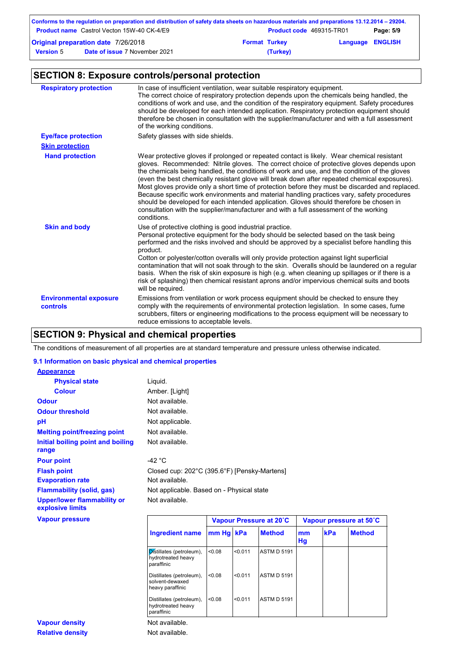|                  | Conforms to the regulation on preparation and distribution of safety data sheets on hazardous materials and preparations 13.12.2014 – 29204. |                      |                                 |                         |           |
|------------------|----------------------------------------------------------------------------------------------------------------------------------------------|----------------------|---------------------------------|-------------------------|-----------|
|                  | <b>Product name</b> Castrol Vecton 15W-40 CK-4/E9                                                                                            |                      | <b>Product code</b> 469315-TR01 |                         | Page: 5/9 |
|                  | <b>Original preparation date 7/26/2018</b>                                                                                                   | <b>Format Turkey</b> |                                 | <b>Language ENGLISH</b> |           |
| <b>Version 5</b> | <b>Date of issue 7 November 2021</b>                                                                                                         |                      | (Turkey)                        |                         |           |

# **SECTION 8: Exposure controls/personal protection**

| <b>Respiratory protection</b>             | In case of insufficient ventilation, wear suitable respiratory equipment.<br>The correct choice of respiratory protection depends upon the chemicals being handled, the<br>conditions of work and use, and the condition of the respiratory equipment. Safety procedures<br>should be developed for each intended application. Respiratory protection equipment should<br>therefore be chosen in consultation with the supplier/manufacturer and with a full assessment<br>of the working conditions.                                                                                                                                                                                                                                                                                        |
|-------------------------------------------|----------------------------------------------------------------------------------------------------------------------------------------------------------------------------------------------------------------------------------------------------------------------------------------------------------------------------------------------------------------------------------------------------------------------------------------------------------------------------------------------------------------------------------------------------------------------------------------------------------------------------------------------------------------------------------------------------------------------------------------------------------------------------------------------|
| <b>Eye/face protection</b>                | Safety glasses with side shields.                                                                                                                                                                                                                                                                                                                                                                                                                                                                                                                                                                                                                                                                                                                                                            |
| <b>Skin protection</b>                    |                                                                                                                                                                                                                                                                                                                                                                                                                                                                                                                                                                                                                                                                                                                                                                                              |
| <b>Hand protection</b>                    | Wear protective gloves if prolonged or repeated contact is likely. Wear chemical resistant<br>gloves. Recommended: Nitrile gloves. The correct choice of protective gloves depends upon<br>the chemicals being handled, the conditions of work and use, and the condition of the gloves<br>(even the best chemically resistant glove will break down after repeated chemical exposures).<br>Most gloves provide only a short time of protection before they must be discarded and replaced.<br>Because specific work environments and material handling practices vary, safety procedures<br>should be developed for each intended application. Gloves should therefore be chosen in<br>consultation with the supplier/manufacturer and with a full assessment of the working<br>conditions. |
| <b>Skin and body</b>                      | Use of protective clothing is good industrial practice.<br>Personal protective equipment for the body should be selected based on the task being<br>performed and the risks involved and should be approved by a specialist before handling this<br>product.<br>Cotton or polyester/cotton overalls will only provide protection against light superficial<br>contamination that will not soak through to the skin. Overalls should be laundered on a regular<br>basis. When the risk of skin exposure is high (e.g. when cleaning up spillages or if there is a<br>risk of splashing) then chemical resistant aprons and/or impervious chemical suits and boots<br>will be required.                                                                                                        |
| <b>Environmental exposure</b><br>controls | Emissions from ventilation or work process equipment should be checked to ensure they<br>comply with the requirements of environmental protection legislation. In some cases, fume<br>scrubbers, filters or engineering modifications to the process equipment will be necessary to<br>reduce emissions to acceptable levels.                                                                                                                                                                                                                                                                                                                                                                                                                                                                |

# **SECTION 9: Physical and chemical properties**

The conditions of measurement of all properties are at standard temperature and pressure unless otherwise indicated.

#### **9.1 Information on basic physical and chemical properties**

| <b>Appearance</b>                               |                  |                                              |  |
|-------------------------------------------------|------------------|----------------------------------------------|--|
| <b>Physical state</b>                           | Liquid.          |                                              |  |
| <b>Colour</b>                                   | Amber. [Light]   |                                              |  |
| <b>Odour</b>                                    | Not available.   |                                              |  |
| <b>Odour threshold</b>                          | Not available.   |                                              |  |
| рH                                              | Not applicable.  |                                              |  |
| <b>Melting point/freezing point</b>             | Not available.   |                                              |  |
| Initial boiling point and boiling<br>range      | Not available.   |                                              |  |
| <b>Pour point</b>                               | -42 $^{\circ}$ C |                                              |  |
| <b>Flash point</b>                              |                  | Closed cup: 202°C (395.6°F) [Pensky-Martens] |  |
| <b>Evaporation rate</b>                         | Not available.   |                                              |  |
| <b>Flammability (solid, gas)</b>                |                  | Not applicable. Based on - Physical state    |  |
| Upper/lower flammability or<br>explosive limits | Not available.   |                                              |  |
| <b>Vapour pressure</b>                          |                  | Vapour Pressure at 20°C                      |  |

|                                                                 |        | Vapour Pressure at 20°C |                    |          | Vapour pressure at 50°C |               |  |
|-----------------------------------------------------------------|--------|-------------------------|--------------------|----------|-------------------------|---------------|--|
| <b>Ingredient name</b>                                          | mm Hg  | kPa                     | <b>Method</b>      | mm<br>Hg | kPa                     | <b>Method</b> |  |
| Distillates (petroleum),<br>hydrotreated heavy<br>paraffinic    | 0.08   | < 0.011                 | <b>ASTM D 5191</b> |          |                         |               |  |
| Distillates (petroleum),<br>solvent-dewaxed<br>heavy paraffinic | < 0.08 | < 0.011                 | <b>ASTM D 5191</b> |          |                         |               |  |
| Distillates (petroleum),<br>hydrotreated heavy<br>paraffinic    | < 0.08 | < 0.011                 | <b>ASTM D 5191</b> |          |                         |               |  |
| Not available.                                                  |        |                         |                    |          |                         |               |  |

Not available.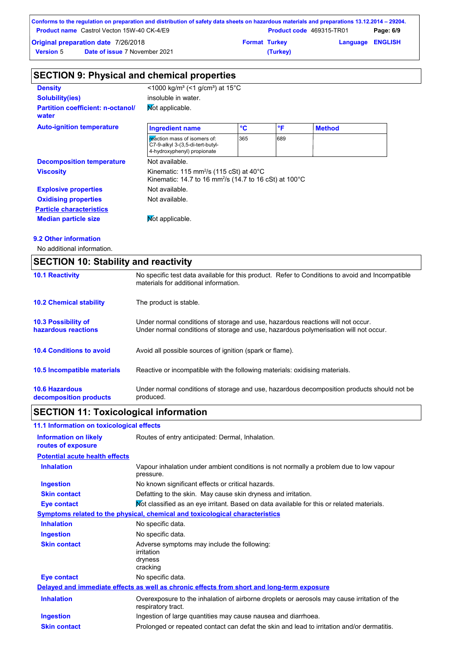|                  | Conforms to the regulation on preparation and distribution of safety data sheets on hazardous materials and preparations 13.12.2014 – 29204. |                      |                                 |                         |           |
|------------------|----------------------------------------------------------------------------------------------------------------------------------------------|----------------------|---------------------------------|-------------------------|-----------|
|                  | <b>Product name</b> Castrol Vecton 15W-40 CK-4/E9                                                                                            |                      | <b>Product code</b> 469315-TR01 |                         | Page: 6/9 |
|                  | <b>Original preparation date 7/26/2018</b>                                                                                                   | <b>Format Turkey</b> |                                 | <b>Language ENGLISH</b> |           |
| <b>Version 5</b> | <b>Date of issue 7 November 2021</b>                                                                                                         |                      | (Turkey)                        |                         |           |

| <b>SECTION 9: Physical and chemical properties</b> |                                                                                                                                      |                 |     |               |  |
|----------------------------------------------------|--------------------------------------------------------------------------------------------------------------------------------------|-----------------|-----|---------------|--|
| <b>Density</b>                                     | <1000 kg/m <sup>3</sup> (<1 g/cm <sup>3</sup> ) at 15 <sup>°</sup> C                                                                 |                 |     |               |  |
| <b>Solubility(ies)</b>                             | insoluble in water.                                                                                                                  |                 |     |               |  |
| <b>Partition coefficient: n-octanol/</b><br>water  | Not applicable.                                                                                                                      |                 |     |               |  |
| <b>Auto-ignition temperature</b>                   | <b>Ingredient name</b>                                                                                                               | $\rm ^{\circ}C$ | °F  | <b>Method</b> |  |
|                                                    | reaction mass of isomers of:<br>C7-9-alkyl 3-(3,5-di-tert-butyl-<br>4-hydroxyphenyl) propionate                                      | 365             | 689 |               |  |
| <b>Decomposition temperature</b>                   | Not available.                                                                                                                       |                 |     |               |  |
| <b>Viscosity</b>                                   | Kinematic: 115 mm <sup>2</sup> /s (115 cSt) at 40 $^{\circ}$ C<br>Kinematic: 14.7 to 16 mm <sup>2</sup> /s (14.7 to 16 cSt) at 100°C |                 |     |               |  |
| <b>Explosive properties</b>                        | Not available.                                                                                                                       |                 |     |               |  |
| <b>Oxidising properties</b>                        | Not available.                                                                                                                       |                 |     |               |  |
| <b>Particle characteristics</b>                    |                                                                                                                                      |                 |     |               |  |
| <b>Median particle size</b>                        | <b>Not applicable.</b>                                                                                                               |                 |     |               |  |

#### **9.2 Other information**

No additional information.

| <b>SECTION 10: Stability and reactivity</b>       |                                                                                                                                                                         |  |
|---------------------------------------------------|-------------------------------------------------------------------------------------------------------------------------------------------------------------------------|--|
| <b>10.1 Reactivity</b>                            | No specific test data available for this product. Refer to Conditions to avoid and Incompatible<br>materials for additional information.                                |  |
| <b>10.2 Chemical stability</b>                    | The product is stable.                                                                                                                                                  |  |
| <b>10.3 Possibility of</b><br>hazardous reactions | Under normal conditions of storage and use, hazardous reactions will not occur.<br>Under normal conditions of storage and use, hazardous polymerisation will not occur. |  |
| <b>10.4 Conditions to avoid</b>                   | Avoid all possible sources of ignition (spark or flame).                                                                                                                |  |
| <b>10.5 Incompatible materials</b>                | Reactive or incompatible with the following materials: oxidising materials.                                                                                             |  |
| <b>10.6 Hazardous</b><br>decomposition products   | Under normal conditions of storage and use, hazardous decomposition products should not be<br>produced.                                                                 |  |

# **SECTION 11: Toxicological information**

# **11.1 Information on toxicological effects**

| <b>Information on likely</b><br>routes of exposure | Routes of entry anticipated: Dermal, Inhalation.                                                                  |
|----------------------------------------------------|-------------------------------------------------------------------------------------------------------------------|
| <b>Potential acute health effects</b>              |                                                                                                                   |
| <b>Inhalation</b>                                  | Vapour inhalation under ambient conditions is not normally a problem due to low vapour<br>pressure.               |
| <b>Ingestion</b>                                   | No known significant effects or critical hazards.                                                                 |
| <b>Skin contact</b>                                | Defatting to the skin. May cause skin dryness and irritation.                                                     |
| Eye contact                                        | Not classified as an eye irritant. Based on data available for this or related materials.                         |
|                                                    | <u>Symptoms related to the physical, chemical and toxicological characteristics</u>                               |
| <b>Inhalation</b>                                  | No specific data.                                                                                                 |
| <b>Ingestion</b>                                   | No specific data.                                                                                                 |
| <b>Skin contact</b>                                | Adverse symptoms may include the following:<br>irritation<br>dryness<br>cracking                                  |
| <b>Eye contact</b>                                 | No specific data.                                                                                                 |
|                                                    | Delayed and immediate effects as well as chronic effects from short and long-term exposure                        |
| <b>Inhalation</b>                                  | Overexposure to the inhalation of airborne droplets or aerosols may cause irritation of the<br>respiratory tract. |
| <b>Ingestion</b>                                   | Ingestion of large quantities may cause nausea and diarrhoea.                                                     |
| <b>Skin contact</b>                                | Prolonged or repeated contact can defat the skin and lead to irritation and/or dermatitis.                        |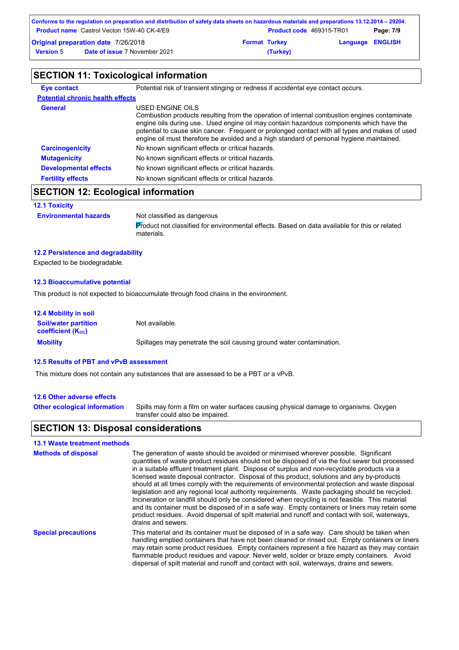|                  | Conforms to the regulation on preparation and distribution of safety data sheets on hazardous materials and preparations 13.12.2014 – 29204. |                      |                                 |                         |           |
|------------------|----------------------------------------------------------------------------------------------------------------------------------------------|----------------------|---------------------------------|-------------------------|-----------|
|                  | <b>Product name</b> Castrol Vecton 15W-40 CK-4/E9                                                                                            |                      | <b>Product code</b> 469315-TR01 |                         | Page: 7/9 |
|                  | <b>Original preparation date 7/26/2018</b>                                                                                                   | <b>Format Turkey</b> |                                 | <b>Language ENGLISH</b> |           |
| <b>Version 5</b> | <b>Date of issue 7 November 2021</b>                                                                                                         |                      | (Turkey)                        |                         |           |

# **SECTION 11: Toxicological information**

| Eye contact                             | Potential risk of transient stinging or redness if accidental eye contact occurs.                                                                                                                                                                                                                                                                                                                        |  |  |  |
|-----------------------------------------|----------------------------------------------------------------------------------------------------------------------------------------------------------------------------------------------------------------------------------------------------------------------------------------------------------------------------------------------------------------------------------------------------------|--|--|--|
| <b>Potential chronic health effects</b> |                                                                                                                                                                                                                                                                                                                                                                                                          |  |  |  |
| <b>General</b>                          | USED ENGINE OILS<br>Combustion products resulting from the operation of internal combustion engines contaminate<br>engine oils during use. Used engine oil may contain hazardous components which have the<br>potential to cause skin cancer. Frequent or prolonged contact with all types and makes of used<br>engine oil must therefore be avoided and a high standard of personal hygiene maintained. |  |  |  |
| <b>Carcinogenicity</b>                  | No known significant effects or critical hazards.                                                                                                                                                                                                                                                                                                                                                        |  |  |  |
| <b>Mutagenicity</b>                     | No known significant effects or critical hazards.                                                                                                                                                                                                                                                                                                                                                        |  |  |  |
| <b>Developmental effects</b>            | No known significant effects or critical hazards.                                                                                                                                                                                                                                                                                                                                                        |  |  |  |
| <b>Fertility effects</b>                | No known significant effects or critical hazards.                                                                                                                                                                                                                                                                                                                                                        |  |  |  |

# **SECTION 12: Ecological information**

#### **12.1 Toxicity**

**Environmental hazards** Not classified as dangerous

Product not classified for environmental effects. Based on data available for this or related materials.

#### **12.2 Persistence and degradability**

Expected to be biodegradable.

#### **12.3 Bioaccumulative potential**

This product is not expected to bioaccumulate through food chains in the environment.

| <b>12.4 Mobility in soil</b>                                  |                                                                      |
|---------------------------------------------------------------|----------------------------------------------------------------------|
| <b>Soil/water partition</b><br>coefficient (K <sub>oc</sub> ) | Not available.                                                       |
| <b>Mobility</b>                                               | Spillages may penetrate the soil causing ground water contamination. |

#### **12.5 Results of PBT and vPvB assessment**

This mixture does not contain any substances that are assessed to be a PBT or a vPvB.

#### **12.6 Other adverse effects**

**Other ecological information**

Spills may form a film on water surfaces causing physical damage to organisms. Oxygen transfer could also be impaired.

### **SECTION 13: Disposal considerations**

### **13.1 Waste treatment methods**

| <b>Methods of disposal</b> | The generation of waste should be avoided or minimised wherever possible. Significant<br>quantities of waste product residues should not be disposed of via the foul sewer but processed<br>in a suitable effluent treatment plant. Dispose of surplus and non-recyclable products via a<br>licensed waste disposal contractor. Disposal of this product, solutions and any by-products<br>should at all times comply with the requirements of environmental protection and waste disposal<br>legislation and any regional local authority reguirements. Waste packaging should be recycled.<br>Incineration or landfill should only be considered when recycling is not feasible. This material<br>and its container must be disposed of in a safe way. Empty containers or liners may retain some<br>product residues. Avoid dispersal of spilt material and runoff and contact with soil, waterways,<br>drains and sewers. |
|----------------------------|-------------------------------------------------------------------------------------------------------------------------------------------------------------------------------------------------------------------------------------------------------------------------------------------------------------------------------------------------------------------------------------------------------------------------------------------------------------------------------------------------------------------------------------------------------------------------------------------------------------------------------------------------------------------------------------------------------------------------------------------------------------------------------------------------------------------------------------------------------------------------------------------------------------------------------|
| <b>Special precautions</b> | This material and its container must be disposed of in a safe way. Care should be taken when<br>handling emptied containers that have not been cleaned or rinsed out. Empty containers or liners<br>may retain some product residues. Empty containers represent a fire hazard as they may contain<br>flammable product residues and vapour. Never weld, solder or braze empty containers. Avoid<br>dispersal of spilt material and runoff and contact with soil, waterways, drains and sewers.                                                                                                                                                                                                                                                                                                                                                                                                                               |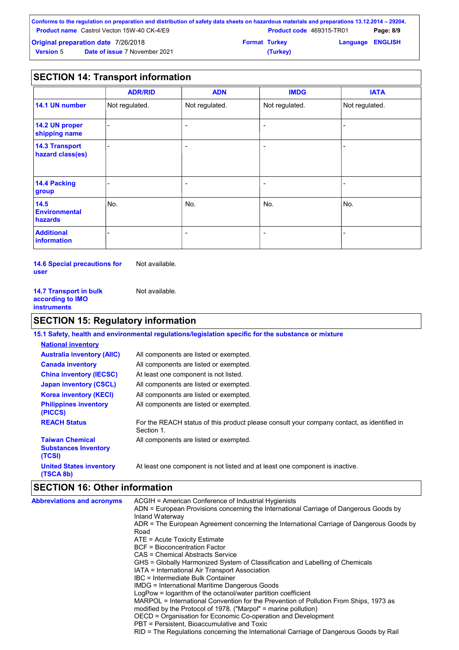|                                            | Conforms to the regulation on preparation and distribution of safety data sheets on hazardous materials and preparations 13.12.2014 – 29204. |                      |                                 |                         |           |
|--------------------------------------------|----------------------------------------------------------------------------------------------------------------------------------------------|----------------------|---------------------------------|-------------------------|-----------|
|                                            | <b>Product name</b> Castrol Vecton 15W-40 CK-4/E9                                                                                            |                      | <b>Product code</b> 469315-TR01 |                         | Page: 8/9 |
| <b>Original preparation date 7/26/2018</b> |                                                                                                                                              | <b>Format Turkey</b> |                                 | <b>Language ENGLISH</b> |           |
| <b>Version 5</b>                           | <b>Date of issue 7 November 2021</b>                                                                                                         |                      | (Turkey)                        |                         |           |

### **SECTION 14: Transport information**

|                                           | <b>ADR/RID</b> | <b>ADN</b>               | <b>IMDG</b>              | <b>IATA</b>    |
|-------------------------------------------|----------------|--------------------------|--------------------------|----------------|
| 14.1 UN number                            | Not regulated. | Not regulated.           | Not regulated.           | Not regulated. |
| 14.2 UN proper<br>shipping name           |                | $\overline{\phantom{0}}$ | $\overline{\phantom{a}}$ |                |
| <b>14.3 Transport</b><br>hazard class(es) |                | $\overline{\phantom{0}}$ | $\overline{\phantom{a}}$ |                |
| 14.4 Packing<br>group                     |                | $\overline{\phantom{0}}$ | $\overline{\phantom{0}}$ |                |
| 14.5<br><b>Environmental</b><br>hazards   | No.            | No.                      | No.                      | No.            |
| <b>Additional</b><br>information          |                |                          | $\overline{\phantom{0}}$ |                |

**14.6 Special precautions for user** Not available.

| <b>14.7 Transport in bulk</b> | Not available. |
|-------------------------------|----------------|
| according to IMO              |                |
| instruments                   |                |

# **SECTION 15: Regulatory information**

|                                                                 | 15.1 Safety, health and environmental regulations/legislation specific for the substance or mixture      |
|-----------------------------------------------------------------|----------------------------------------------------------------------------------------------------------|
| <b>National inventory</b>                                       |                                                                                                          |
| <b>Australia inventory (AIIC)</b>                               | All components are listed or exempted.                                                                   |
| <b>Canada inventory</b>                                         | All components are listed or exempted.                                                                   |
| <b>China inventory (IECSC)</b>                                  | At least one component is not listed.                                                                    |
| <b>Japan inventory (CSCL)</b>                                   | All components are listed or exempted.                                                                   |
| <b>Korea inventory (KECI)</b>                                   | All components are listed or exempted.                                                                   |
| <b>Philippines inventory</b><br>(PICCS)                         | All components are listed or exempted.                                                                   |
| <b>REACH Status</b>                                             | For the REACH status of this product please consult your company contact, as identified in<br>Section 1. |
| <b>Taiwan Chemical</b><br><b>Substances Inventory</b><br>(TCSI) | All components are listed or exempted.                                                                   |
| <b>United States inventory</b><br>(TSCA 8b)                     | At least one component is not listed and at least one component is inactive.                             |

# **SECTION 16: Other information**

| RID = The Regulations concerning the International Carriage of Dangerous Goods by Rail | <b>Abbreviations and acronyms</b> | ACGIH = American Conference of Industrial Hygienists<br>ADN = European Provisions concerning the International Carriage of Dangerous Goods by<br>Inland Waterway<br>ADR = The European Agreement concerning the International Carriage of Dangerous Goods by<br>Road<br>$ATE = Acute Toxicity Estimate$<br>BCF = Bioconcentration Factor<br>CAS = Chemical Abstracts Service<br>GHS = Globally Harmonized System of Classification and Labelling of Chemicals<br>IATA = International Air Transport Association<br>IBC = Intermediate Bulk Container<br><b>IMDG</b> = International Maritime Dangerous Goods<br>LogPow = logarithm of the octanol/water partition coefficient<br>MARPOL = International Convention for the Prevention of Pollution From Ships, 1973 as<br>modified by the Protocol of 1978. ("Marpol" = marine pollution)<br>OECD = Organisation for Economic Co-operation and Development<br>PBT = Persistent, Bioaccumulative and Toxic |
|----------------------------------------------------------------------------------------|-----------------------------------|-----------------------------------------------------------------------------------------------------------------------------------------------------------------------------------------------------------------------------------------------------------------------------------------------------------------------------------------------------------------------------------------------------------------------------------------------------------------------------------------------------------------------------------------------------------------------------------------------------------------------------------------------------------------------------------------------------------------------------------------------------------------------------------------------------------------------------------------------------------------------------------------------------------------------------------------------------------|
|----------------------------------------------------------------------------------------|-----------------------------------|-----------------------------------------------------------------------------------------------------------------------------------------------------------------------------------------------------------------------------------------------------------------------------------------------------------------------------------------------------------------------------------------------------------------------------------------------------------------------------------------------------------------------------------------------------------------------------------------------------------------------------------------------------------------------------------------------------------------------------------------------------------------------------------------------------------------------------------------------------------------------------------------------------------------------------------------------------------|